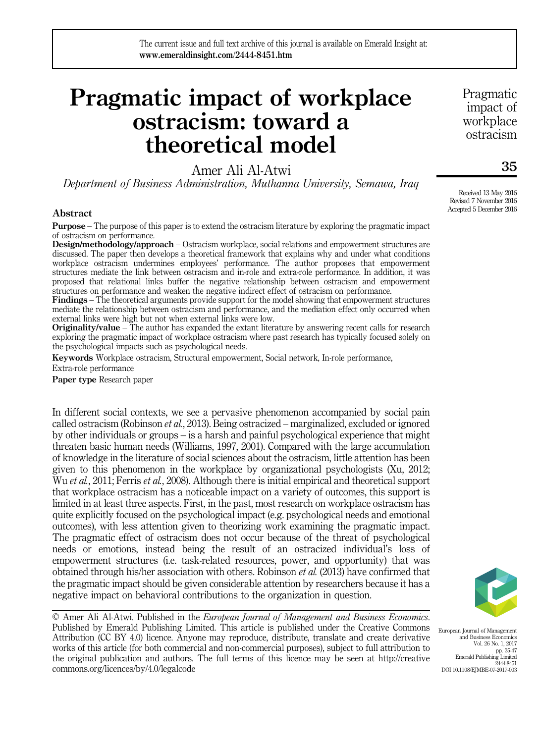# Pragmatic impact of workplace ostracism: toward a theoretical model

Amer Ali Al-Atwi

Department of Business Administration, Muthanna University, Semawa, Iraq

# Abstract

Purpose – The purpose of this paper is to extend the ostracism literature by exploring the pragmatic impact of ostracism on performance.

Design/methodology/approach – Ostracism workplace, social relations and empowerment structures are discussed. The paper then develops a theoretical framework that explains why and under what conditions workplace ostracism undermines employees' performance. The author proposes that empowerment structures mediate the link between ostracism and in-role and extra-role performance. In addition, it was proposed that relational links buffer the negative relationship between ostracism and empowerment structures on performance and weaken the negative indirect effect of ostracism on performance.

Findings – The theoretical arguments provide support for the model showing that empowerment structures mediate the relationship between ostracism and performance, and the mediation effect only occurred when external links were high but not when external links were low.

Originality/value – The author has expanded the extant literature by answering recent calls for research exploring the pragmatic impact of workplace ostracism where past research has typically focused solely on the psychological impacts such as psychological needs.

Keywords Workplace ostracism, Structural empowerment, Social network, In-role performance, Extra-role performance

Paper type Research paper

In different social contexts, we see a pervasive phenomenon accompanied by social pain called ostracism (Robinson *et al.*, 2013). Being ostracized – marginalized, excluded or ignored by other individuals or groups – is a harsh and painful psychological experience that might threaten basic human needs (Williams, 1997, 2001). Compared with the large accumulation of knowledge in the literature of social sciences about the ostracism, little attention has been given to this phenomenon in the workplace by organizational psychologists (Xu, 2012; Wu et al., 2011; Ferris et al., 2008). Although there is initial empirical and theoretical support that workplace ostracism has a noticeable impact on a variety of outcomes, this support is limited in at least three aspects. First, in the past, most research on workplace ostracism has quite explicitly focused on the psychological impact (e.g. psychological needs and emotional outcomes), with less attention given to theorizing work examining the pragmatic impact. The pragmatic effect of ostracism does not occur because of the threat of psychological needs or emotions, instead being the result of an ostracized individual's loss of empowerment structures (i.e. task-related resources, power, and opportunity) that was obtained through his/her association with others. Robinson et al. (2013) have confirmed that the pragmatic impact should be given considerable attention by researchers because it has a negative impact on behavioral contributions to the organization in question.

© Amer Ali Al-Atwi. Published in the European Journal of Management and Business Economics. Published by Emerald Publishing Limited. This article is published under the Creative Commons Attribution (CC BY 4.0) licence. Anyone may reproduce, distribute, translate and create derivative works of this article (for both commercial and non-commercial purposes), subject to full attribution to the original publication and authors. The full terms of this licence may be seen at [http://creative](http://creativecommons.org/licences/by/4.0/legalcode) [commons.org/licences/by/4.0/legalcode](http://creativecommons.org/licences/by/4.0/legalcode)

European Journal of Management and Business Economics Vol. 26 No. 1, 2017 pp. 35-47 Emerald Publishing Limited 2444-8451 DOI 10.1108/EIMBE-07-2017-003

Pragmatic impact of workplace ostracism

35

Received 13 May 2016 Revised 7 November 2016 Accepted 5 December 2016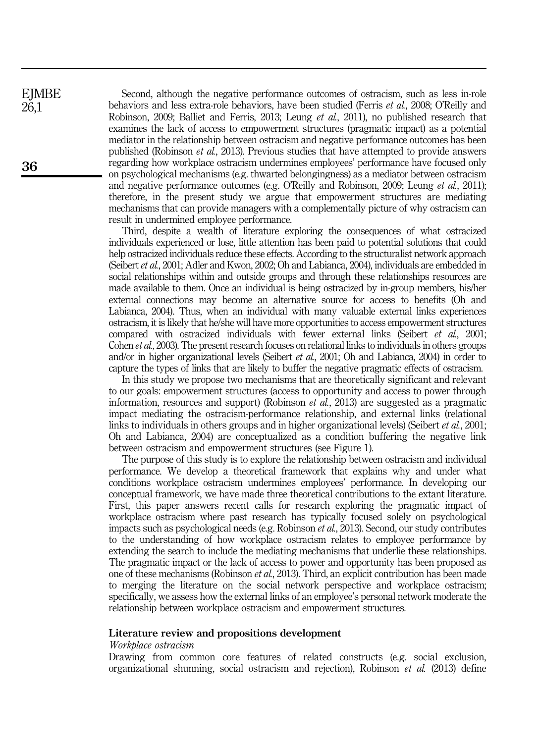Second, although the negative performance outcomes of ostracism, such as less in-role behaviors and less extra-role behaviors, have been studied (Ferris et al., 2008; O'Reilly and Robinson, 2009; Balliet and Ferris, 2013; Leung et al., 2011), no published research that examines the lack of access to empowerment structures (pragmatic impact) as a potential mediator in the relationship between ostracism and negative performance outcomes has been published (Robinson et al., 2013). Previous studies that have attempted to provide answers regarding how workplace ostracism undermines employees' performance have focused only on psychological mechanisms (e.g. thwarted belongingness) as a mediator between ostracism and negative performance outcomes (e.g. O'Reilly and Robinson, 2009; Leung et al., 2011); therefore, in the present study we argue that empowerment structures are mediating mechanisms that can provide managers with a complementally picture of why ostracism can result in undermined employee performance.

Third, despite a wealth of literature exploring the consequences of what ostracized individuals experienced or lose, little attention has been paid to potential solutions that could help ostracized individuals reduce these effects. According to the structuralist network approach (Seibert et al., 2001; Adler and Kwon, 2002; Oh and Labianca, 2004), individuals are embedded in social relationships within and outside groups and through these relationships resources are made available to them. Once an individual is being ostracized by in-group members, his/her external connections may become an alternative source for access to benefits (Oh and Labianca, 2004). Thus, when an individual with many valuable external links experiences ostracism, it is likely that he/she will have more opportunities to access empowerment structures compared with ostracized individuals with fewer external links (Seibert et al., 2001; Cohen *et al.*, 2003). The present research focuses on relational links to individuals in others groups and/or in higher organizational levels (Seibert et al., 2001; Oh and Labianca, 2004) in order to capture the types of links that are likely to buffer the negative pragmatic effects of ostracism.

In this study we propose two mechanisms that are theoretically significant and relevant to our goals: empowerment structures (access to opportunity and access to power through information, resources and support) (Robinson et al., 2013) are suggested as a pragmatic impact mediating the ostracism-performance relationship, and external links (relational links to individuals in others groups and in higher organizational levels) (Seibert et al., 2001; Oh and Labianca, 2004) are conceptualized as a condition buffering the negative link between ostracism and empowerment structures (see Figure 1).

The purpose of this study is to explore the relationship between ostracism and individual performance. We develop a theoretical framework that explains why and under what conditions workplace ostracism undermines employees' performance. In developing our conceptual framework, we have made three theoretical contributions to the extant literature. First, this paper answers recent calls for research exploring the pragmatic impact of workplace ostracism where past research has typically focused solely on psychological impacts such as psychological needs (e.g. Robinson et al., 2013). Second, our study contributes to the understanding of how workplace ostracism relates to employee performance by extending the search to include the mediating mechanisms that underlie these relationships. The pragmatic impact or the lack of access to power and opportunity has been proposed as one of these mechanisms (Robinson et al., 2013). Third, an explicit contribution has been made to merging the literature on the social network perspective and workplace ostracism; specifically, we assess how the external links of an employee's personal network moderate the relationship between workplace ostracism and empowerment structures.

## Literature review and propositions development

#### Workplace ostracism

Drawing from common core features of related constructs (e.g. social exclusion, organizational shunning, social ostracism and rejection), Robinson *et al.* (2013) define

**EJMBE** 26,1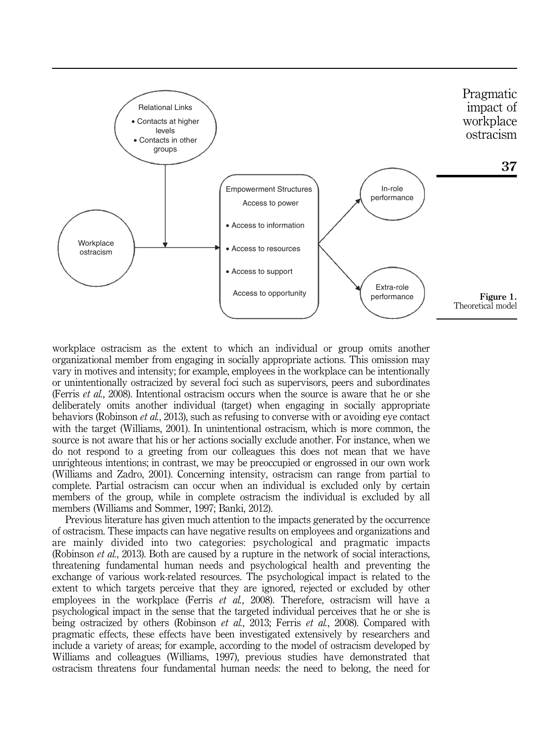

workplace ostracism as the extent to which an individual or group omits another organizational member from engaging in socially appropriate actions. This omission may vary in motives and intensity; for example, employees in the workplace can be intentionally or unintentionally ostracized by several foci such as supervisors, peers and subordinates (Ferris et al., 2008). Intentional ostracism occurs when the source is aware that he or she deliberately omits another individual (target) when engaging in socially appropriate behaviors (Robinson *et al.*, 2013), such as refusing to converse with or avoiding eye contact with the target (Williams, 2001). In unintentional ostracism, which is more common, the source is not aware that his or her actions socially exclude another. For instance, when we do not respond to a greeting from our colleagues this does not mean that we have unrighteous intentions; in contrast, we may be preoccupied or engrossed in our own work (Williams and Zadro, 2001). Concerning intensity, ostracism can range from partial to complete. Partial ostracism can occur when an individual is excluded only by certain members of the group, while in complete ostracism the individual is excluded by all members (Williams and Sommer, 1997; Banki, 2012).

Previous literature has given much attention to the impacts generated by the occurrence of ostracism. These impacts can have negative results on employees and organizations and are mainly divided into two categories: psychological and pragmatic impacts (Robinson *et al.*, 2013). Both are caused by a rupture in the network of social interactions, threatening fundamental human needs and psychological health and preventing the exchange of various work-related resources. The psychological impact is related to the extent to which targets perceive that they are ignored, rejected or excluded by other employees in the workplace (Ferris et al., 2008). Therefore, ostracism will have a psychological impact in the sense that the targeted individual perceives that he or she is being ostracized by others (Robinson *et al.*, 2013; Ferris *et al.*, 2008). Compared with pragmatic effects, these effects have been investigated extensively by researchers and include a variety of areas; for example, according to the model of ostracism developed by Williams and colleagues (Williams, 1997), previous studies have demonstrated that ostracism threatens four fundamental human needs: the need to belong, the need for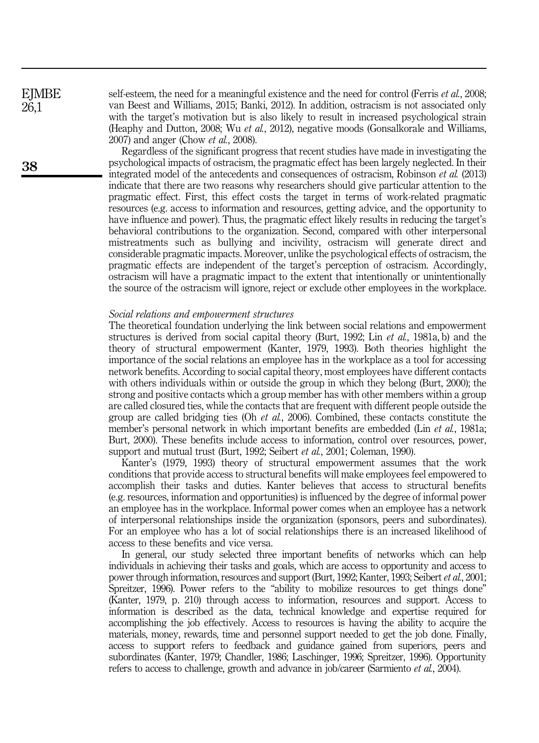self-esteem, the need for a meaningful existence and the need for control (Ferris et al., 2008; van Beest and Williams, 2015; Banki, 2012). In addition, ostracism is not associated only with the target's motivation but is also likely to result in increased psychological strain (Heaphy and Dutton, 2008; Wu *et al.*, 2012), negative moods (Gonsalkorale and Williams, 2007) and anger (Chow et al., 2008).

Regardless of the significant progress that recent studies have made in investigating the psychological impacts of ostracism, the pragmatic effect has been largely neglected. In their integrated model of the antecedents and consequences of ostracism, Robinson et al. (2013) indicate that there are two reasons why researchers should give particular attention to the pragmatic effect. First, this effect costs the target in terms of work-related pragmatic resources (e.g. access to information and resources, getting advice, and the opportunity to have influence and power). Thus, the pragmatic effect likely results in reducing the target's behavioral contributions to the organization. Second, compared with other interpersonal mistreatments such as bullying and incivility, ostracism will generate direct and considerable pragmatic impacts. Moreover, unlike the psychological effects of ostracism, the pragmatic effects are independent of the target's perception of ostracism. Accordingly, ostracism will have a pragmatic impact to the extent that intentionally or unintentionally the source of the ostracism will ignore, reject or exclude other employees in the workplace.

# Social relations and empowerment structures

The theoretical foundation underlying the link between social relations and empowerment structures is derived from social capital theory (Burt, 1992; Lin *et al.*, 1981a, b) and the theory of structural empowerment (Kanter, 1979, 1993). Both theories highlight the importance of the social relations an employee has in the workplace as a tool for accessing network benefits. According to social capital theory, most employees have different contacts with others individuals within or outside the group in which they belong (Burt, 2000); the strong and positive contacts which a group member has with other members within a group are called closured ties, while the contacts that are frequent with different people outside the group are called bridging ties (Oh et al., 2006). Combined, these contacts constitute the member's personal network in which important benefits are embedded (Lin *et al.*, 1981a; Burt, 2000). These benefits include access to information, control over resources, power, support and mutual trust (Burt, 1992; Seibert et al., 2001; Coleman, 1990).

Kanter's (1979, 1993) theory of structural empowerment assumes that the work conditions that provide access to structural benefits will make employees feel empowered to accomplish their tasks and duties. Kanter believes that access to structural benefits (e.g. resources, information and opportunities) is influenced by the degree of informal power an employee has in the workplace. Informal power comes when an employee has a network of interpersonal relationships inside the organization (sponsors, peers and subordinates). For an employee who has a lot of social relationships there is an increased likelihood of access to these benefits and vice versa.

In general, our study selected three important benefits of networks which can help individuals in achieving their tasks and goals, which are access to opportunity and access to power through information, resources and support (Burt, 1992; Kanter, 1993; Seibert et al., 2001; Spreitzer, 1996). Power refers to the "ability to mobilize resources to get things done" (Kanter, 1979, p. 210) through access to information, resources and support. Access to information is described as the data, technical knowledge and expertise required for accomplishing the job effectively. Access to resources is having the ability to acquire the materials, money, rewards, time and personnel support needed to get the job done. Finally, access to support refers to feedback and guidance gained from superiors, peers and subordinates (Kanter, 1979; Chandler, 1986; Laschinger, 1996; Spreitzer, 1996). Opportunity refers to access to challenge, growth and advance in job/career (Sarmiento et al., 2004).

**EJMBE** 26,1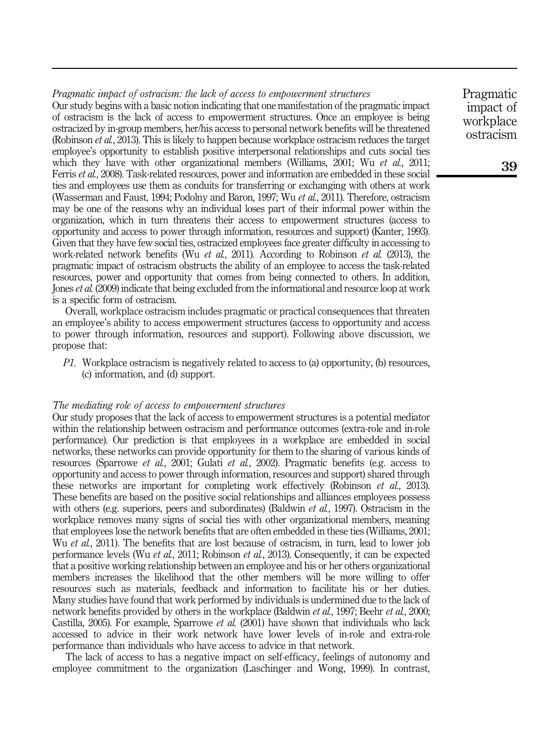# Pragmatic impact of ostracism: the lack of access to empowerment structures

Our study begins with a basic notion indicating that one manifestation of the pragmatic impact of ostracism is the lack of access to empowerment structures. Once an employee is being ostracized by in-group members, her/his access to personal network benefits will be threatened (Robinson *et al.*, 2013). This is likely to happen because workplace ostracism reduces the target employee's opportunity to establish positive interpersonal relationships and cuts social ties which they have with other organizational members (Williams, 2001; Wu et al., 2011; Ferris et al., 2008). Task-related resources, power and information are embedded in these social ties and employees use them as conduits for transferring or exchanging with others at work (Wasserman and Faust, 1994; Podolny and Baron, 1997; Wu et al., 2011). Therefore, ostracism may be one of the reasons why an individual loses part of their informal power within the organization, which in turn threatens their access to empowerment structures (access to opportunity and access to power through information, resources and support) (Kanter, 1993). Given that they have few social ties, ostracized employees face greater difficulty in accessing to work-related network benefits (Wu et al., 2011). According to Robinson et al. (2013), the pragmatic impact of ostracism obstructs the ability of an employee to access the task-related resources, power and opportunity that comes from being connected to others. In addition, Jones et al. (2009) indicate that being excluded from the informational and resource loop at work is a specific form of ostracism.

Overall, workplace ostracism includes pragmatic or practical consequences that threaten an employee's ability to access empowerment structures (access to opportunity and access to power through information, resources and support). Following above discussion, we propose that:

P1. Workplace ostracism is negatively related to access to (a) opportunity, (b) resources, (c) information, and (d) support.

# The mediating role of access to empowerment structures

Our study proposes that the lack of access to empowerment structures is a potential mediator within the relationship between ostracism and performance outcomes (extra-role and in-role performance). Our prediction is that employees in a workplace are embedded in social networks, these networks can provide opportunity for them to the sharing of various kinds of resources (Sparrowe et al., 2001; Gulati et al., 2002). Pragmatic benefits (e.g. access to opportunity and access to power through information, resources and support) shared through these networks are important for completing work effectively (Robinson et al., 2013). These benefits are based on the positive social relationships and alliances employees possess with others (e.g. superiors, peers and subordinates) (Baldwin *et al.*, 1997). Ostracism in the workplace removes many signs of social ties with other organizational members, meaning that employees lose the network benefits that are often embedded in these ties (Williams, 2001; Wu *et al.*, 2011). The benefits that are lost because of ostracism, in turn, lead to lower job performance levels (Wu et al., 2011; Robinson et al., 2013). Consequently, it can be expected that a positive working relationship between an employee and his or her others organizational members increases the likelihood that the other members will be more willing to offer resources such as materials, feedback and information to facilitate his or her duties. Many studies have found that work performed by individuals is undermined due to the lack of network benefits provided by others in the workplace (Baldwin *et al.*, 1997; Beehr *et al.*, 2000; Castilla, 2005). For example, Sparrowe *et al.* (2001) have shown that individuals who lack accessed to advice in their work network have lower levels of in-role and extra-role performance than individuals who have access to advice in that network.

The lack of access to has a negative impact on self-efficacy, feelings of autonomy and employee commitment to the organization (Laschinger and Wong, 1999). In contrast,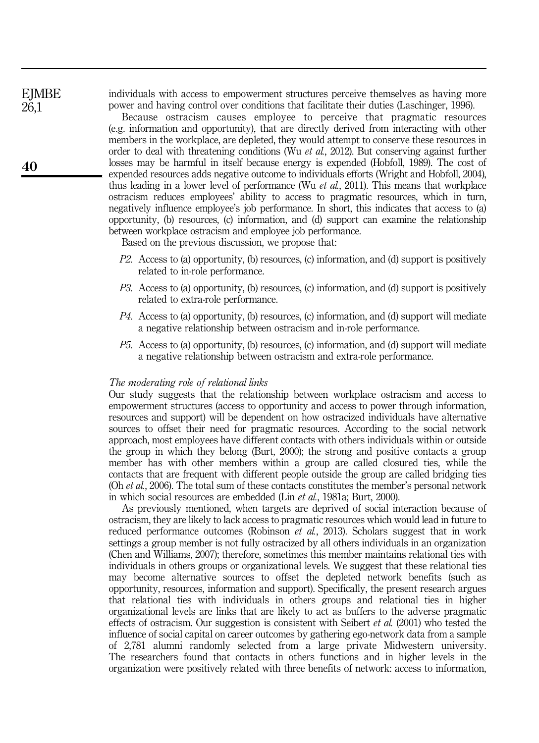**EJMBE** 26,1

40

individuals with access to empowerment structures perceive themselves as having more power and having control over conditions that facilitate their duties (Laschinger, 1996).

Because ostracism causes employee to perceive that pragmatic resources (e.g. information and opportunity), that are directly derived from interacting with other members in the workplace, are depleted, they would attempt to conserve these resources in order to deal with threatening conditions (Wu et al., 2012). But conserving against further losses may be harmful in itself because energy is expended (Hobfoll, 1989). The cost of expended resources adds negative outcome to individuals efforts (Wright and Hobfoll, 2004), thus leading in a lower level of performance (Wu *et al.*, 2011). This means that workplace ostracism reduces employees' ability to access to pragmatic resources, which in turn, negatively influence employee's job performance. In short, this indicates that access to (a) opportunity, (b) resources, (c) information, and (d) support can examine the relationship between workplace ostracism and employee job performance.

Based on the previous discussion, we propose that:

- P2. Access to (a) opportunity, (b) resources, (c) information, and (d) support is positively related to in-role performance.
- P3. Access to (a) opportunity, (b) resources, (c) information, and (d) support is positively related to extra-role performance.
- $P4$ . Access to (a) opportunity, (b) resources, (c) information, and (d) support will mediate a negative relationship between ostracism and in-role performance.
- P5. Access to (a) opportunity, (b) resources, (c) information, and (d) support will mediate a negative relationship between ostracism and extra-role performance.

#### The moderating role of relational links

Our study suggests that the relationship between workplace ostracism and access to empowerment structures (access to opportunity and access to power through information, resources and support) will be dependent on how ostracized individuals have alternative sources to offset their need for pragmatic resources. According to the social network approach, most employees have different contacts with others individuals within or outside the group in which they belong (Burt, 2000); the strong and positive contacts a group member has with other members within a group are called closured ties, while the contacts that are frequent with different people outside the group are called bridging ties (Oh et al., 2006). The total sum of these contacts constitutes the member's personal network in which social resources are embedded (Lin *et al.*, 1981a; Burt, 2000).

As previously mentioned, when targets are deprived of social interaction because of ostracism, they are likely to lack access to pragmatic resources which would lead in future to reduced performance outcomes (Robinson *et al.*, 2013). Scholars suggest that in work settings a group member is not fully ostracized by all others individuals in an organization (Chen and Williams, 2007); therefore, sometimes this member maintains relational ties with individuals in others groups or organizational levels. We suggest that these relational ties may become alternative sources to offset the depleted network benefits (such as opportunity, resources, information and support). Specifically, the present research argues that relational ties with individuals in others groups and relational ties in higher organizational levels are links that are likely to act as buffers to the adverse pragmatic effects of ostracism. Our suggestion is consistent with Seibert et al. (2001) who tested the influence of social capital on career outcomes by gathering ego-network data from a sample of 2,781 alumni randomly selected from a large private Midwestern university. The researchers found that contacts in others functions and in higher levels in the organization were positively related with three benefits of network: access to information,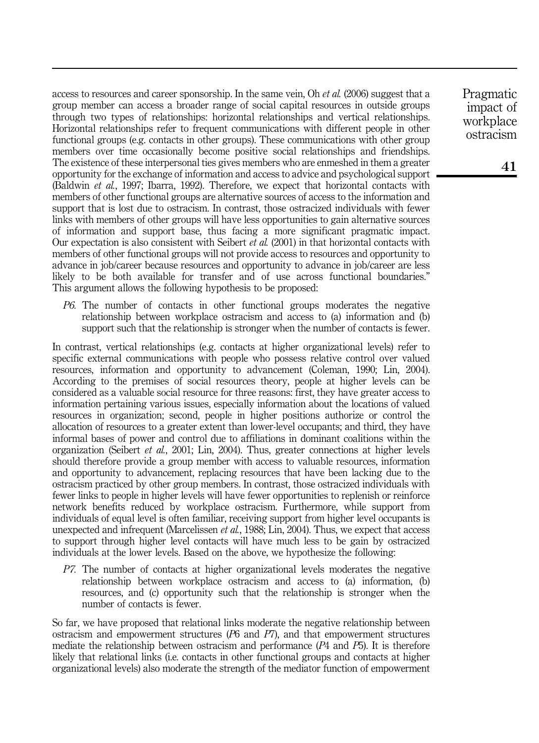access to resources and career sponsorship. In the same vein, Oh *et al.* (2006) suggest that a group member can access a broader range of social capital resources in outside groups through two types of relationships: horizontal relationships and vertical relationships. Horizontal relationships refer to frequent communications with different people in other functional groups (e.g. contacts in other groups). These communications with other group members over time occasionally become positive social relationships and friendships. The existence of these interpersonal ties gives members who are enmeshed in them a greater opportunity for the exchange of information and access to advice and psychological support (Baldwin et al., 1997; Ibarra, 1992). Therefore, we expect that horizontal contacts with members of other functional groups are alternative sources of access to the information and support that is lost due to ostracism. In contrast, those ostracized individuals with fewer links with members of other groups will have less opportunities to gain alternative sources of information and support base, thus facing a more significant pragmatic impact. Our expectation is also consistent with Seibert *et al.* (2001) in that horizontal contacts with members of other functional groups will not provide access to resources and opportunity to advance in job/career because resources and opportunity to advance in job/career are less likely to be both available for transfer and of use across functional boundaries." This argument allows the following hypothesis to be proposed:

P6. The number of contacts in other functional groups moderates the negative relationship between workplace ostracism and access to (a) information and (b) support such that the relationship is stronger when the number of contacts is fewer.

In contrast, vertical relationships (e.g. contacts at higher organizational levels) refer to specific external communications with people who possess relative control over valued resources, information and opportunity to advancement (Coleman, 1990; Lin, 2004). According to the premises of social resources theory, people at higher levels can be considered as a valuable social resource for three reasons: first, they have greater access to information pertaining various issues, especially information about the locations of valued resources in organization; second, people in higher positions authorize or control the allocation of resources to a greater extent than lower-level occupants; and third, they have informal bases of power and control due to affiliations in dominant coalitions within the organization (Seibert et al., 2001; Lin, 2004). Thus, greater connections at higher levels should therefore provide a group member with access to valuable resources, information and opportunity to advancement, replacing resources that have been lacking due to the ostracism practiced by other group members. In contrast, those ostracized individuals with fewer links to people in higher levels will have fewer opportunities to replenish or reinforce network benefits reduced by workplace ostracism. Furthermore, while support from individuals of equal level is often familiar, receiving support from higher level occupants is unexpected and infrequent (Marcelissen *et al.*, 1988; Lin, 2004). Thus, we expect that access to support through higher level contacts will have much less to be gain by ostracized individuals at the lower levels. Based on the above, we hypothesize the following:

P7. The number of contacts at higher organizational levels moderates the negative relationship between workplace ostracism and access to (a) information, (b) resources, and (c) opportunity such that the relationship is stronger when the number of contacts is fewer.

So far, we have proposed that relational links moderate the negative relationship between ostracism and empowerment structures  $(P6 \text{ and } P7)$ , and that empowerment structures mediate the relationship between ostracism and performance  $(P4 \text{ and } P5)$ . It is therefore likely that relational links (i.e. contacts in other functional groups and contacts at higher organizational levels) also moderate the strength of the mediator function of empowerment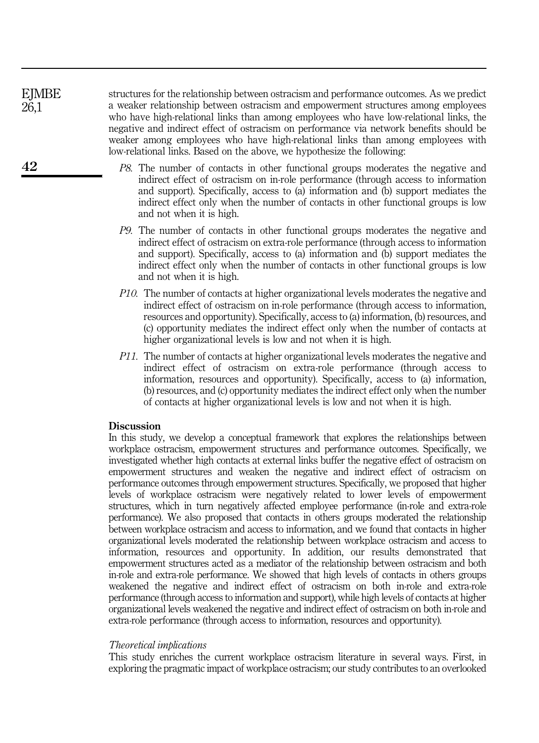**EJMBE** 26,1

42

structures for the relationship between ostracism and performance outcomes. As we predict a weaker relationship between ostracism and empowerment structures among employees who have high-relational links than among employees who have low-relational links, the negative and indirect effect of ostracism on performance via network benefits should be weaker among employees who have high-relational links than among employees with low-relational links. Based on the above, we hypothesize the following:

- P8. The number of contacts in other functional groups moderates the negative and indirect effect of ostracism on in-role performance (through access to information and support). Specifically, access to (a) information and (b) support mediates the indirect effect only when the number of contacts in other functional groups is low and not when it is high.
- P9. The number of contacts in other functional groups moderates the negative and indirect effect of ostracism on extra-role performance (through access to information and support). Specifically, access to (a) information and (b) support mediates the indirect effect only when the number of contacts in other functional groups is low and not when it is high.
- P10. The number of contacts at higher organizational levels moderates the negative and indirect effect of ostracism on in-role performance (through access to information, resources and opportunity). Specifically, access to (a) information, (b) resources, and (c) opportunity mediates the indirect effect only when the number of contacts at higher organizational levels is low and not when it is high.
- P11. The number of contacts at higher organizational levels moderates the negative and indirect effect of ostracism on extra-role performance (through access to information, resources and opportunity). Specifically, access to (a) information, (b) resources, and (c) opportunity mediates the indirect effect only when the number of contacts at higher organizational levels is low and not when it is high.

# **Discussion**

In this study, we develop a conceptual framework that explores the relationships between workplace ostracism, empowerment structures and performance outcomes. Specifically, we investigated whether high contacts at external links buffer the negative effect of ostracism on empowerment structures and weaken the negative and indirect effect of ostracism on performance outcomes through empowerment structures. Specifically, we proposed that higher levels of workplace ostracism were negatively related to lower levels of empowerment structures, which in turn negatively affected employee performance (in-role and extra-role performance). We also proposed that contacts in others groups moderated the relationship between workplace ostracism and access to information, and we found that contacts in higher organizational levels moderated the relationship between workplace ostracism and access to information, resources and opportunity. In addition, our results demonstrated that empowerment structures acted as a mediator of the relationship between ostracism and both in-role and extra-role performance. We showed that high levels of contacts in others groups weakened the negative and indirect effect of ostracism on both in-role and extra-role performance (through access to information and support), while high levels of contacts at higher organizational levels weakened the negative and indirect effect of ostracism on both in-role and extra-role performance (through access to information, resources and opportunity).

# Theoretical implications

This study enriches the current workplace ostracism literature in several ways. First, in exploring the pragmatic impact of workplace ostracism; our study contributes to an overlooked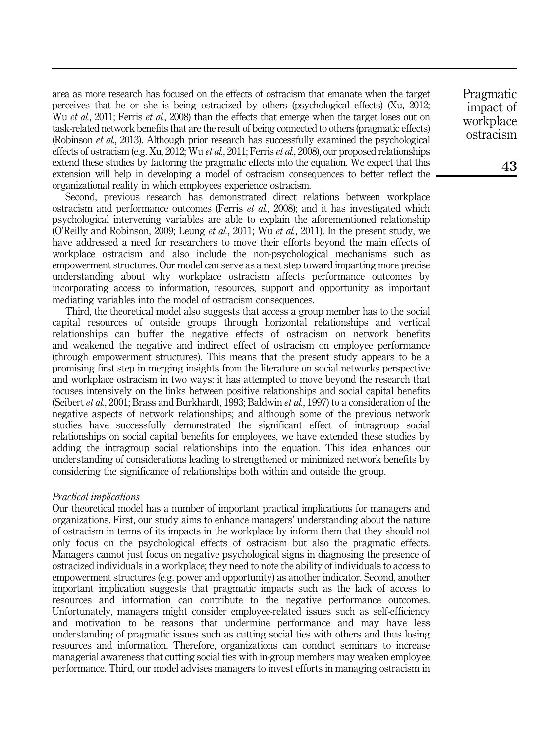area as more research has focused on the effects of ostracism that emanate when the target perceives that he or she is being ostracized by others (psychological effects) (Xu, 2012; Wu *et al.*, 2011; Ferris *et al.*, 2008) than the effects that emerge when the target loses out on task-related network benefits that are the result of being connected to others (pragmatic effects) (Robinson et al., 2013). Although prior research has successfully examined the psychological effects of ostracism (e.g. Xu, 2012; Wu *et al.*, 2011; Ferris *et al.*, 2008), our proposed relationships extend these studies by factoring the pragmatic effects into the equation. We expect that this extension will help in developing a model of ostracism consequences to better reflect the organizational reality in which employees experience ostracism.

Second, previous research has demonstrated direct relations between workplace ostracism and performance outcomes (Ferris et al., 2008); and it has investigated which psychological intervening variables are able to explain the aforementioned relationship (O'Reilly and Robinson, 2009; Leung *et al.*, 2011; Wu *et al.*, 2011). In the present study, we have addressed a need for researchers to move their efforts beyond the main effects of workplace ostracism and also include the non-psychological mechanisms such as empowerment structures. Our model can serve as a next step toward imparting more precise understanding about why workplace ostracism affects performance outcomes by incorporating access to information, resources, support and opportunity as important mediating variables into the model of ostracism consequences.

Third, the theoretical model also suggests that access a group member has to the social capital resources of outside groups through horizontal relationships and vertical relationships can buffer the negative effects of ostracism on network benefits and weakened the negative and indirect effect of ostracism on employee performance (through empowerment structures). This means that the present study appears to be a promising first step in merging insights from the literature on social networks perspective and workplace ostracism in two ways: it has attempted to move beyond the research that focuses intensively on the links between positive relationships and social capital benefits (Seibert et al., 2001; Brass and Burkhardt, 1993; Baldwin et al., 1997) to a consideration of the negative aspects of network relationships; and although some of the previous network studies have successfully demonstrated the significant effect of intragroup social relationships on social capital benefits for employees, we have extended these studies by adding the intragroup social relationships into the equation. This idea enhances our understanding of considerations leading to strengthened or minimized network benefits by considering the significance of relationships both within and outside the group.

# Practical implications

Our theoretical model has a number of important practical implications for managers and organizations. First, our study aims to enhance managers' understanding about the nature of ostracism in terms of its impacts in the workplace by inform them that they should not only focus on the psychological effects of ostracism but also the pragmatic effects. Managers cannot just focus on negative psychological signs in diagnosing the presence of ostracized individuals in a workplace; they need to note the ability of individuals to access to empowerment structures (e.g. power and opportunity) as another indicator. Second, another important implication suggests that pragmatic impacts such as the lack of access to resources and information can contribute to the negative performance outcomes. Unfortunately, managers might consider employee-related issues such as self-efficiency and motivation to be reasons that undermine performance and may have less understanding of pragmatic issues such as cutting social ties with others and thus losing resources and information. Therefore, organizations can conduct seminars to increase managerial awareness that cutting social ties with in-group members may weaken employee performance. Third, our model advises managers to invest efforts in managing ostracism in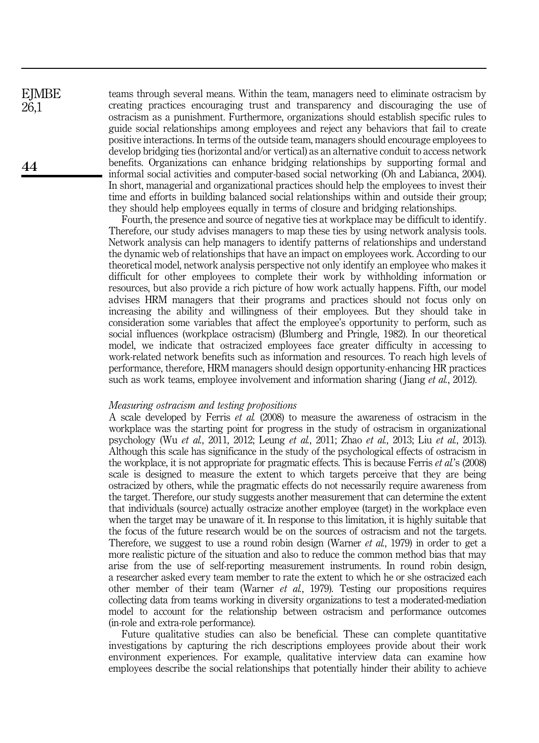teams through several means. Within the team, managers need to eliminate ostracism by creating practices encouraging trust and transparency and discouraging the use of ostracism as a punishment. Furthermore, organizations should establish specific rules to guide social relationships among employees and reject any behaviors that fail to create positive interactions. In terms of the outside team, managers should encourage employees to develop bridging ties (horizontal and/or vertical) as an alternative conduit to access network benefits. Organizations can enhance bridging relationships by supporting formal and informal social activities and computer-based social networking (Oh and Labianca, 2004). In short, managerial and organizational practices should help the employees to invest their time and efforts in building balanced social relationships within and outside their group; they should help employees equally in terms of closure and bridging relationships.

Fourth, the presence and source of negative ties at workplace may be difficult to identify. Therefore, our study advises managers to map these ties by using network analysis tools. Network analysis can help managers to identify patterns of relationships and understand the dynamic web of relationships that have an impact on employees work. According to our theoretical model, network analysis perspective not only identify an employee who makes it difficult for other employees to complete their work by withholding information or resources, but also provide a rich picture of how work actually happens. Fifth, our model advises HRM managers that their programs and practices should not focus only on increasing the ability and willingness of their employees. But they should take in consideration some variables that affect the employee's opportunity to perform, such as social influences (workplace ostracism) (Blumberg and Pringle, 1982). In our theoretical model, we indicate that ostracized employees face greater difficulty in accessing to work-related network benefits such as information and resources. To reach high levels of performance, therefore, HRM managers should design opportunity-enhancing HR practices such as work teams, employee involvement and information sharing (Jiang  $et$   $al$ , 2012).

# Measuring ostracism and testing propositions

A scale developed by Ferris et al. (2008) to measure the awareness of ostracism in the workplace was the starting point for progress in the study of ostracism in organizational psychology (Wu et al., 2011, 2012; Leung et al., 2011; Zhao et al., 2013; Liu et al., 2013). Although this scale has significance in the study of the psychological effects of ostracism in the workplace, it is not appropriate for pragmatic effects. This is because Ferris et al.'s (2008) scale is designed to measure the extent to which targets perceive that they are being ostracized by others, while the pragmatic effects do not necessarily require awareness from the target. Therefore, our study suggests another measurement that can determine the extent that individuals (source) actually ostracize another employee (target) in the workplace even when the target may be unaware of it. In response to this limitation, it is highly suitable that the focus of the future research would be on the sources of ostracism and not the targets. Therefore, we suggest to use a round robin design (Warner *et al.*, 1979) in order to get a more realistic picture of the situation and also to reduce the common method bias that may arise from the use of self-reporting measurement instruments. In round robin design, a researcher asked every team member to rate the extent to which he or she ostracized each other member of their team (Warner  $et \ al., 1979$ ). Testing our propositions requires collecting data from teams working in diversity organizations to test a moderated-mediation model to account for the relationship between ostracism and performance outcomes (in-role and extra-role performance).

Future qualitative studies can also be beneficial. These can complete quantitative investigations by capturing the rich descriptions employees provide about their work environment experiences. For example, qualitative interview data can examine how employees describe the social relationships that potentially hinder their ability to achieve

**E**IMBE 26,1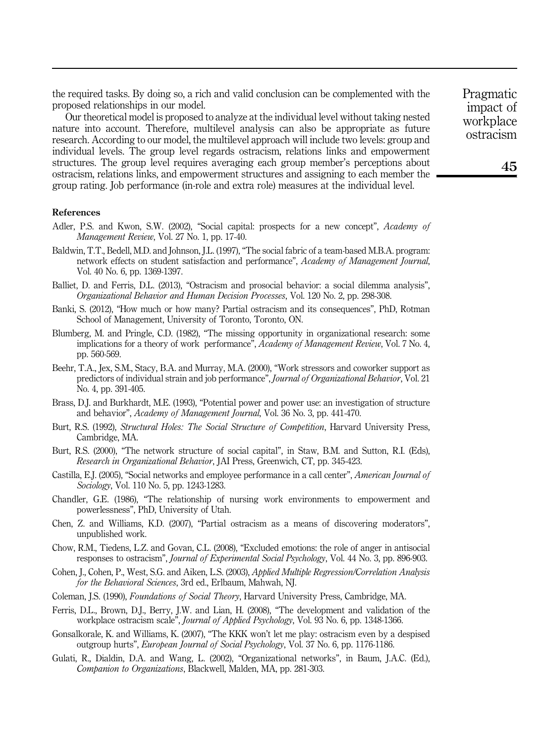the required tasks. By doing so, a rich and valid conclusion can be complemented with the proposed relationships in our model.

Our theoretical model is proposed to analyze at the individual level without taking nested nature into account. Therefore, multilevel analysis can also be appropriate as future research. According to our model, the multilevel approach will include two levels: group and individual levels. The group level regards ostracism, relations links and empowerment structures. The group level requires averaging each group member's perceptions about ostracism, relations links, and empowerment structures and assigning to each member the group rating. Job performance (in-role and extra role) measures at the individual level.

# References

- Adler, P.S. and Kwon, S.W. (2002), "Social capital: prospects for a new concept", Academy of Management Review, Vol. 27 No. 1, pp. 17-40.
- Baldwin, T.T., Bedell, M.D. and Johnson, J.L. (1997), "The social fabric of a team-based M.B.A. program: network effects on student satisfaction and performance", Academy of Management Journal, Vol. 40 No. 6, pp. 1369-1397.
- Balliet, D. and Ferris, D.L. (2013), "Ostracism and prosocial behavior: a social dilemma analysis", Organizational Behavior and Human Decision Processes, Vol. 120 No. 2, pp. 298-308.
- Banki, S. (2012), "How much or how many? Partial ostracism and its consequences", PhD, Rotman School of Management, University of Toronto, Toronto, ON.
- Blumberg, M. and Pringle, C.D. (1982), "The missing opportunity in organizational research: some implications for a theory of work performance", Academy of Management Review, Vol. 7 No. 4, pp. 560-569.
- Beehr, T.A., Jex, S.M., Stacy, B.A. and Murray, M.A. (2000), "Work stressors and coworker support as predictors of individual strain and job performance", Journal of Organizational Behavior, Vol. 21 No. 4, pp. 391-405.
- Brass, D.J. and Burkhardt, M.E. (1993), "Potential power and power use: an investigation of structure and behavior", *Academy of Management Journal*, Vol. 36 No. 3, pp. 441-470.
- Burt, R.S. (1992), Structural Holes: The Social Structure of Competition, Harvard University Press, Cambridge, MA.
- Burt, R.S. (2000), "The network structure of social capital", in Staw, B.M. and Sutton, R.I. (Eds), Research in Organizational Behavior, JAI Press, Greenwich, CT, pp. 345-423.
- Castilla, E.J. (2005), "Social networks and employee performance in a call center", American Journal of Sociology, Vol. 110 No. 5, pp. 1243-1283.
- Chandler, G.E. (1986), "The relationship of nursing work environments to empowerment and powerlessness", PhD, University of Utah.
- Chen, Z. and Williams, K.D. (2007), "Partial ostracism as a means of discovering moderators", unpublished work.
- Chow, R.M., Tiedens, L.Z. and Govan, C.L. (2008), "Excluded emotions: the role of anger in antisocial responses to ostracism", *Journal of Experimental Social Psychology*, Vol. 44 No. 3, pp. 896-903.
- Cohen, J., Cohen, P., West, S.G. and Aiken, L.S. (2003), Applied Multiple Regression/Correlation Analysis for the Behavioral Sciences, 3rd ed., Erlbaum, Mahwah, NJ.
- Coleman, J.S. (1990), Foundations of Social Theory, Harvard University Press, Cambridge, MA.
- Ferris, D.L., Brown, D.J., Berry, J.W. and Lian, H. (2008), "The development and validation of the workplace ostracism scale", Journal of Applied Psychology, Vol. 93 No. 6, pp. 1348-1366.
- Gonsalkorale, K. and Williams, K. (2007), "The KKK won't let me play: ostracism even by a despised outgroup hurts", European Journal of Social Psychology, Vol. 37 No. 6, pp. 1176-1186.
- Gulati, R., Dialdin, D.A. and Wang, L. (2002), "Organizational networks", in Baum, J.A.C. (Ed.), Companion to Organizations, Blackwell, Malden, MA, pp. 281-303.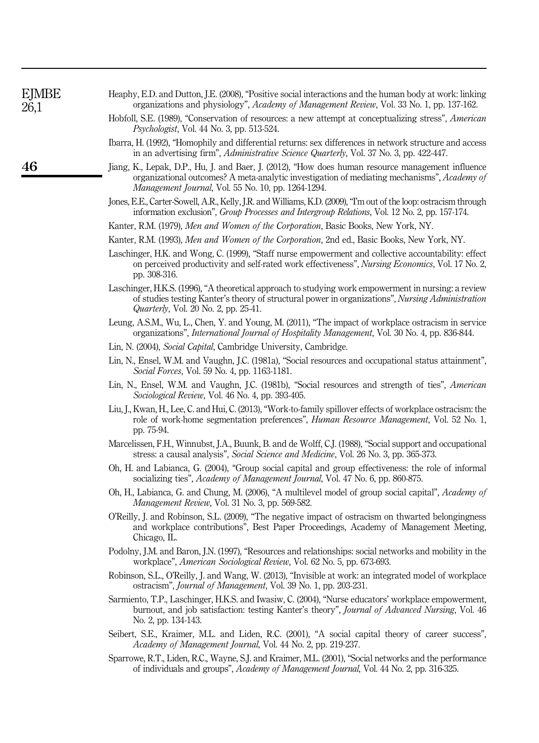| <b>EJMBE</b><br>26,1 | Heaphy, E.D. and Dutton, J.E. (2008), "Positive social interactions and the human body at work: linking<br>organizations and physiology", Academy of Management Review, Vol. 33 No. 1, pp. 137-162.                                                      |
|----------------------|----------------------------------------------------------------------------------------------------------------------------------------------------------------------------------------------------------------------------------------------------------|
|                      | Hobfoll, S.E. (1989), "Conservation of resources: a new attempt at conceptualizing stress", American<br>Psychologist, Vol. 44 No. 3, pp. 513-524.                                                                                                        |
|                      | Ibarra, H. (1992), "Homophily and differential returns: sex differences in network structure and access<br>in an advertising firm", <i>Administrative Science Quarterly</i> , Vol. 37 No. 3, pp. 422-447.                                                |
| 46                   | Jiang, K., Lepak, D.P., Hu, J. and Baer, J. (2012), "How does human resource management influence<br>organizational outcomes? A meta-analytic investigation of mediating mechanisms", Academy of<br>Management Journal, Vol. 55 No. 10, pp. 1264-1294.   |
|                      | Jones, E.E., Carter-Sowell, A.R., Kelly, J.R. and Williams, K.D. (2009), "I'm out of the loop: ostracism through<br>information exclusion", Group Processes and Intergroup Relations, Vol. 12 No. 2, pp. 157-174.                                        |
|                      | Kanter, R.M. (1979), Men and Women of the Corporation, Basic Books, New York, NY.                                                                                                                                                                        |
|                      | Kanter, R.M. (1993), Men and Women of the Corporation, 2nd ed., Basic Books, New York, NY.                                                                                                                                                               |
|                      | Laschinger, H.K. and Wong, C. (1999), "Staff nurse empowerment and collective accountability: effect<br>on perceived productivity and self-rated work effectiveness", Nursing Economics, Vol. 17 No. 2,<br>pp. 308-316.                                  |
|                      | Laschinger, H.K.S. (1996), "A theoretical approach to studying work empowerment in nursing: a review<br>of studies testing Kanter's theory of structural power in organizations", Nursing Administration<br><i>Quarterly</i> , Vol. 20 No. 2, pp. 25-41. |
|                      | Leung, A.S.M., Wu, L., Chen, Y. and Young, M. (2011), "The impact of workplace ostracism in service<br>organizations", International Journal of Hospitality Management, Vol. 30 No. 4, pp. 836-844.                                                      |
|                      | Lin, N. (2004), Social Capital, Cambridge University, Cambridge.                                                                                                                                                                                         |
|                      | Lin, N., Ensel, W.M. and Vaughn, J.C. (1981a), "Social resources and occupational status attainment",<br>Social Forces, Vol. 59 No. 4, pp. 1163-1181.                                                                                                    |
|                      | Lin, N., Ensel, W.M. and Vaughn, J.C. (1981b), "Social resources and strength of ties", American<br>Sociological Review, Vol. 46 No. 4, pp. 393-405.                                                                                                     |
|                      | Liu, J., Kwan, H., Lee, C. and Hui, C. (2013), "Work-to-family spillover effects of workplace ostracism: the<br>role of work-home segmentation preferences", <i>Human Resource Management</i> , Vol. 52 No. 1,<br>pp. 75-94.                             |
|                      | Marcelissen, F.H., Winnubst, J.A., Buunk, B. and de Wolff, C.J. (1988), "Social support and occupational<br>stress: a causal analysis", Social Science and Medicine, Vol. 26 No. 3, pp. 365-373.                                                         |
|                      | Oh, H. and Labianca, G. (2004), "Group social capital and group effectiveness: the role of informal<br>socializing ties", Academy of Management Journal, Vol. 47 No. 6, pp. 860-875.                                                                     |
|                      | Oh, H., Labianca, G. and Chung, M. (2006), "A multilevel model of group social capital", Academy of<br>Management Review, Vol. 31 No. 3, pp. 569-582.                                                                                                    |
|                      | O'Reilly, J. and Robinson, S.L. (2009), "The negative impact of ostracism on thwarted belongingness<br>and workplace contributions", Best Paper Proceedings, Academy of Management Meeting,<br>Chicago, IL.                                              |
|                      | Podolny, J.M. and Baron, J.N. (1997), "Resources and relationships: social networks and mobility in the<br>workplace", American Sociological Review, Vol. 62 No. 5, pp. 673-693.                                                                         |
|                      | Robinson, S.L., O'Reilly, J. and Wang, W. (2013), "Invisible at work: an integrated model of workplace<br>ostracism", Journal of Management, Vol. 39 No. 1, pp. 203-231.                                                                                 |
|                      | Sarmiento, T.P., Laschinger, H.K.S. and Iwasiw, C. (2004), "Nurse educators' workplace empowerment,<br>burnout, and job satisfaction: testing Kanter's theory", Journal of Advanced Nursing, Vol. 46<br>No. 2, pp. 134-143.                              |
|                      | Seibert, S.E., Kraimer, M.L. and Liden, R.C. (2001), "A social capital theory of career success",<br>Academy of Management Journal, Vol. 44 No. 2, pp. 219-237.                                                                                          |
|                      | Sparrowe, R.T., Liden, R.C., Wayne, S.J. and Kraimer, M.L. (2001), "Social networks and the performance<br>of individuals and groups", Academy of Management Journal, Vol. 44 No. 2, pp. 316-325.                                                        |